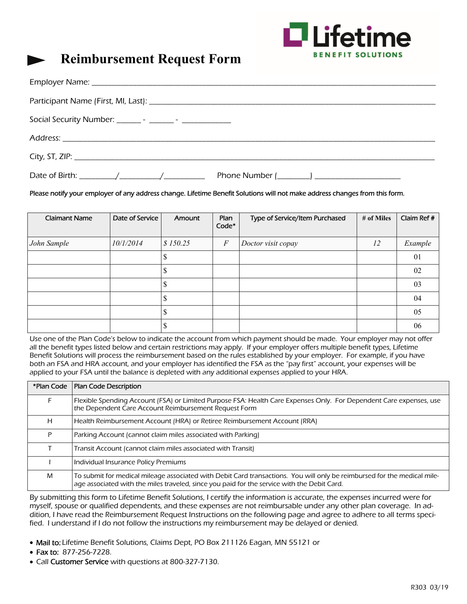

# **Reimbursement Request Form**

#### Please notify your employer of any address change. Lifetime Benefit Solutions will not make address changes from this form.

| <b>Claimant Name</b> | Date of Service | Amount   | Plan<br>Code*    | Type of Service/Item Purchased | # of Miles | Claim Ref # |
|----------------------|-----------------|----------|------------------|--------------------------------|------------|-------------|
| John Sample          | 10/1/2014       | \$150.25 | $\boldsymbol{F}$ | Doctor visit copay             | 12         | Example     |
|                      |                 | ۰D       |                  |                                |            | 01          |
|                      |                 | Φ        |                  |                                |            | 02          |
|                      |                 | J        |                  |                                |            | 03          |
|                      |                 | ĸD       |                  |                                |            | 04          |
|                      |                 | ۰D       |                  |                                |            | 05          |
|                      |                 | ٠Π       |                  |                                |            | 06          |

Use one of the Plan Code's below to indicate the account from which payment should be made. Your employer may not offer all the benefit types listed below and certain restrictions may apply. If your employer offers multiple benefit types, Lifetime Benefit Solutions will process the reimbursement based on the rules established by your employer. For example, if you have both an FSA and HRA account, and your employer has identified the FSA as the "pay first" account, your expenses will be applied to your FSA until the balance is depleted with any additional expenses applied to your HRA.

| *Plan Code | <b>Plan Code Description</b>                                                                                                                                                                                            |
|------------|-------------------------------------------------------------------------------------------------------------------------------------------------------------------------------------------------------------------------|
|            | Flexible Spending Account (FSA) or Limited Purpose FSA: Health Care Expenses Only. For Dependent Care expenses, use<br>the Dependent Care Account Reimbursement Request Form                                            |
| H          | Health Reimbursement Account (HRA) or Retiree Reimbursement Account (RRA)                                                                                                                                               |
| P          | Parking Account (cannot claim miles associated with Parking)                                                                                                                                                            |
|            | Transit Account (cannot claim miles associated with Transit)                                                                                                                                                            |
|            | Individual Insurance Policy Premiums                                                                                                                                                                                    |
| M          | To submit for medical mileage associated with Debit Card transactions. You will only be reimbursed for the medical mile-<br>age associated with the miles traveled, since you paid for the service with the Debit Card. |

By submitting this form to Lifetime Benefit Solutions, I certify the information is accurate, the expenses incurred were for myself, spouse or qualified dependents, and these expenses are not reimbursable under any other plan coverage. In addition, I have read the Reimbursement Request Instructions on the following page and agree to adhere to all terms specified. I understand if I do not follow the instructions my reimbursement may be delayed or denied.

- Mail to: Lifetime Benefit Solutions, Claims Dept, PO Box 211126 Eagan, MN 55121 or
- Fax to: 877-256-7228.
- Call Customer Service with questions at 800-327-7130.